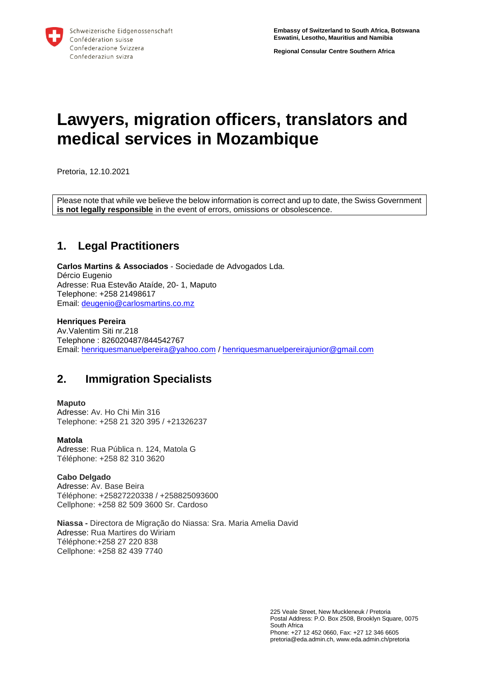**Regional Consular Centre Southern Africa**

# **Lawyers, migration officers, translators and medical services in Mozambique**

Pretoria, 12.10.2021

Please note that while we believe the below information is correct and up to date, the Swiss Government **is not legally responsible** in the event of errors, omissions or obsolescence.

# **1. Legal Practitioners**

**Carlos Martins & Associados** - Sociedade de Advogados Lda. Dércio Eugenio Adresse: Rua Estevão Ataíde, 20- 1, Maputo Telephone: +258 21498617 Email: [deugenio@carlosmartins.co.mz](mailto:deugenio@carlosmartins.co.mz)

# **Henriques Pereira**

Av.Valentim Siti nr.218 Telephone : 826020487/844542767 Email: [henriquesmanuelpereira@yahoo.com](mailto:henriquesmanuelpereira@yahoo.com) [/ henriquesmanuelpereirajunior@gmail.com](mailto:henriquesmanuelpereirajunior@gmail.com)

# **2. Immigration Specialists**

# **Maputo**

Adresse: Av. Ho Chi Min 316 Telephone: +258 21 320 395 / +21326237

### **Matola**

Adresse: Rua Pública n. 124, Matola G Téléphone: +258 82 310 3620

#### **Cabo Delgado** Adresse: Av. Base Beira Téléphone: +25827220338 / +258825093600 Cellphone: +258 82 509 3600 Sr. Cardoso

**Niassa -** Directora de Migração do Niassa: Sra. Maria Amelia David Adresse: Rua Martires do Wiriam Téléphone:+258 27 220 838 Cellphone: +258 82 439 7740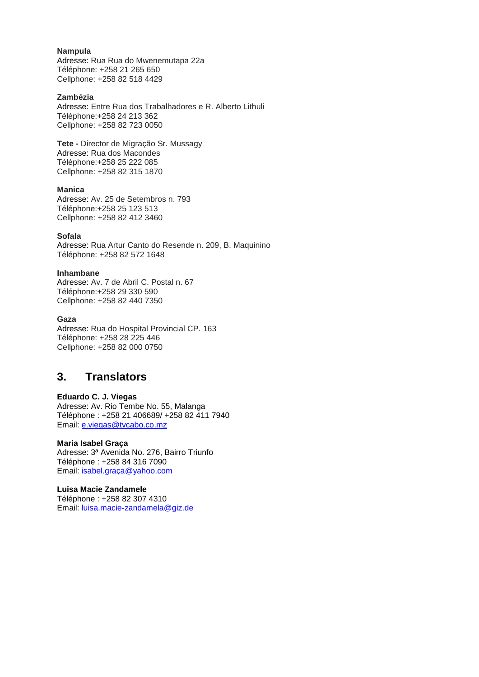# **Nampula**

Adresse: Rua Rua do Mwenemutapa 22a Téléphone: +258 21 265 650 Cellphone: +258 82 518 4429

### **Zambézia**

Adresse: Entre Rua dos Trabalhadores e R. Alberto Lithuli Téléphone:+258 24 213 362 Cellphone: +258 82 723 0050

**Tete -** Director de Migração Sr. Mussagy Adresse: Rua dos Macondes Téléphone:+258 25 222 085 Cellphone: +258 82 315 1870

### **Manica**

Adresse: Av. 25 de Setembros n. 793 Téléphone:+258 25 123 513 Cellphone: +258 82 412 3460

### **Sofala**

Adresse: Rua Artur Canto do Resende n. 209, B. Maquinino Téléphone: +258 82 572 1648

#### **Inhambane**

Adresse: Av. 7 de Abril C. Postal n. 67 Téléphone:+258 29 330 590 Cellphone: +258 82 440 7350

### **Gaza**

Adresse: Rua do Hospital Provincial CP. 163 Téléphone: +258 28 225 446 Cellphone: +258 82 000 0750

# **3. Translators**

### **Eduardo C. J. Viegas**

Adresse: Av. Rio Tembe No. 55, Malanga Téléphone : +258 21 406689/ +258 82 411 7940 Email: [e.viegas@tvcabo.co.mz](mailto:e.viegas@tvcabo.co.mz)

#### **Maria Isabel Graça**

Adresse: 3ª Avenida No. 276, Bairro Triunfo Téléphone : +258 84 316 7090 Email: [isabel.graça@yahoo.com](mailto:isabel.graça@yahoo.com)

# **Luisa Macie Zandamele**

Téléphone : +258 82 307 4310 Email: [luisa.macie-zandamela@giz.de](mailto:luisa.macie-zandamela@giz.de)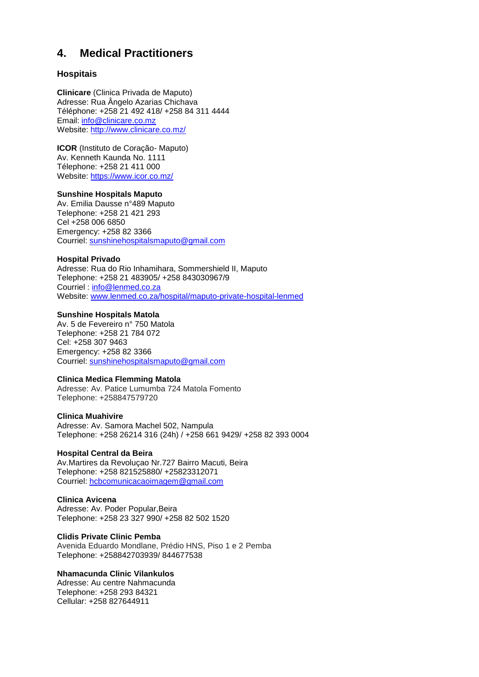# **4. Medical Practitioners**

# **Hospitais**

**Clinicare** (Clinica Privada de Maputo) Adresse: Rua Ângelo Azarias Chichava Téléphone: +258 21 492 418/ +258 84 311 4444 Email: [info@clinicare.co.mz](mailto:info@clinicare.co.mz) Website:<http://www.clinicare.co.mz/>

**ICOR** (Instituto de Coração- Maputo) Av. Kenneth Kaunda No. 1111 Télephone: [+258 21 411 000](javascript:void(0)) Website:<https://www.icor.co.mz/>

# **Sunshine Hospitals Maputo**

Av. Emilia Dausse n°489 Maputo Telephone: [+258 21 421](javascript:void(0)) 293 Cel +258 006 6850 Emergency: +258 82 3366 Courriel: [sunshinehospitalsmaputo@gmail.com](mailto:sunshinehospitalsmaputo@gmail.com)

# **Hospital Privado**

Adresse: Rua do Rio Inhamihara, Sommershield II, Maputo Telephone: +258 21 483905/ +258 843030967/9 Courriel : [info@lenmed.co.za](mailto:info@lenmed.co.za) Website: [www.lenmed.co.za/hospital/maputo-private-hospital-lenmed](http://www.lenmed.co.za/hospital/maputo-private-hospital-lenmed)

# **Sunshine Hospitals Matola**

Av. 5 de Fevereiro n° 750 Matola Telephone: [+258 21 784 072](javascript:void(0)) Cel: +258 307 9463 Emergency: +258 82 3366 Courriel: [sunshinehospitalsmaputo@gmail.com](mailto:sunshinehospitalsmaputo@gmail.com)

### **Clinica Medica Flemming Matola**

Adresse: Av. Patice Lumumba 724 Matola Fomento Telephone: +258847579720

### **Clinica Muahivire**

Adresse: Av. Samora Machel 502, Nampula Telephone: +258 26214 316 (24h) / +258 661 9429/ [+258 82 393 0004](https://www.google.com/search?q=Consultoria+M%C3%A9dico+Muahivire+NAMPULA&ei=AVJlYcW4FO3-7_UP1a-coA4&ved=0ahUKEwiFvbO0xMTzAhVt_7sIHdUXB-QQ4dUDCA4&uact=5&oq=Consultoria+M%C3%A9dico+Muahivire+NAMPULA&gs_lcp=Cgdnd3Mtd2l6EAMyBwghEAoQoAE6BAghEBVKBAhBGAFQ6Y8CWLSeAmDkoAJoAXAAeACAAZsEiAH8GZIBBTQtNS4ymAEAoAEBwAEB&sclient=gws-wiz)

# **Hospital Central da Beira**

Av.Martires da Revoluçao Nr.727 Bairro Macuti, Beira Telephone: +258 821525880/ +25823312071 Courriel: [hcbcomunicacaoimagem@gmail.com](mailto:hcbcomunicacaoimagem@gmail.com)

### **Clinica Avicena**

Adresse: Av. Poder Popular,Beira Telephone: +258 23 327 990/ +258 82 502 1520

### **Clidis Private Clinic Pemba**

Avenida Eduardo Mondlane, Prédio HNS, Piso 1 e 2 Pemba Telephone: +258842703939/ 844677538

# **Nhamacunda Clinic Vilankulos**

Adresse: Au centre Nahmacunda Telephone: +258 293 84321 Cellular: +258 827644911